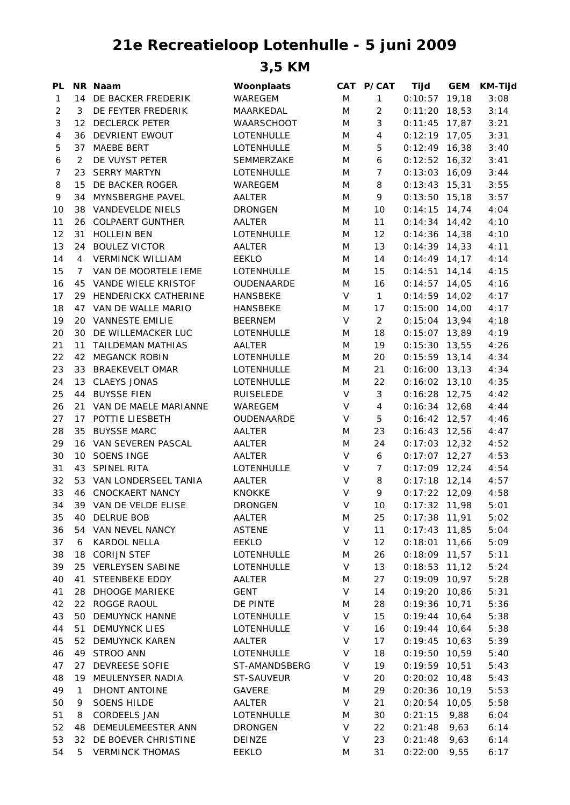## **21e Recreatieloop Lotenhulle - 5 juni 2009**

**3,5 KM**

| PL             |                | NR Naam                  | Woonplaats        |        | CAT P/CAT      | <b>Tijd</b>                        | <b>GEM</b> | <b>KM-Tijd</b> |
|----------------|----------------|--------------------------|-------------------|--------|----------------|------------------------------------|------------|----------------|
| $\mathbf{1}$   |                | 14 DE BACKER FREDERIK    | WAREGEM           | M      | $\mathbf{1}$   | $0:10:57$ 19,18                    |            | 3:08           |
| $\overline{2}$ | 3              | DE FEYTER FREDERIK       | MAARKEDAL         | M      | $\overline{c}$ | $0:11:20$ 18,53                    |            | 3:14           |
| 3              |                | 12 DECLERCK PETER        | <b>WAARSCHOOT</b> | M      | 3              | $0:11:45$ 17,87                    |            | 3:21           |
| $\overline{4}$ |                | 36 DEVRIENT EWOUT        | LOTENHULLE        | M      | 4              | $0:12:19$ 17,05                    |            | 3:31           |
| 5              |                | 37 MAEBE BERT            | LOTENHULLE        | M      | 5              | $0:12:49$ 16,38                    |            | 3:40           |
| 6              | 2              | DE VUYST PETER           | SEMMERZAKE        | M      | 6              | $0:12:52$ 16,32                    |            | 3:41           |
| 7              |                | 23 SERRY MARTYN          | <b>LOTENHULLE</b> | M      | $\overline{7}$ | $0:13:03$ 16,09                    |            | 3:44           |
| 8              |                | 15 DE BACKER ROGER       | <b>WAREGEM</b>    | M      | 8              | $0:13:43$ 15,31                    |            | 3:55           |
| 9              | 34             | MYNSBERGHE PAVEL         | <b>AALTER</b>     | M      | 9              | $0:13:50$ 15,18                    |            | 3:57           |
| 10             | 38             | VANDEVELDE NIELS         | <b>DRONGEN</b>    | M      | 10             | $0:14:15$ 14,74                    |            | 4:04           |
| 11             | 26             | <b>COLPAERT GUNTHER</b>  | AALTER            | M      | 11             | $0:14:34$ 14,42                    |            | 4:10           |
| 12             | 31             | <b>HOLLEIN BEN</b>       | LOTENHULLE        | M      | 12             | $0:14:36$ 14,38                    |            | 4:10           |
| 13             |                | 24 BOULEZ VICTOR         | AALTER            | M      | 13             | $0:14:39$ 14,33                    |            | 4:11           |
| 14             | $\overline{4}$ | <b>VERMINCK WILLIAM</b>  | <b>EEKLO</b>      | M      | 14             | $0:14:49$ 14,17                    |            | 4:14           |
| 15             | 7              | VAN DE MOORTELE IEME     | LOTENHULLE        | M      | 15             | $0:14:51$ 14,14                    |            | 4:15           |
| 16             |                | 45 VANDE WIELE KRISTOF   | <b>OUDENAARDE</b> | M      | 16             | $0:14:57$ 14,05                    |            | 4:16           |
| 17             |                | 29 HENDERICKX CATHERINE  | <b>HANSBEKE</b>   | V      | $\mathbf{1}$   | $0:14:59$ 14,02                    |            | 4:17           |
| 18             |                | 47 VAN DE WALLE MARIO    | <b>HANSBEKE</b>   | M      | 17             | $0:15:00$ 14,00                    |            | 4:17           |
| 19             |                | 20 VANNESTE EMILIE       | <b>BEERNEM</b>    | $\vee$ | $\overline{2}$ | $0:15:04$ 13,94                    |            | 4:18           |
| 20             |                | 30 DE WILLEMACKER LUC    | <b>LOTENHULLE</b> | M      | 18             | $0:15:07$ 13,89                    |            | 4:19           |
| 21             | 11             | TAILDEMAN MATHIAS        | AALTER            | M      | 19             | $0:15:30$ 13,55                    |            | 4:26           |
| 22             | 42             | <b>MEGANCK ROBIN</b>     | LOTENHULLE        | M      | 20             | $0:15:59$ 13,14                    |            | 4:34           |
| 23             | 33             | <b>BRAEKEVELT OMAR</b>   | LOTENHULLE        | M      | 21             | $0:16:00$ 13,13                    |            | 4:34           |
| 24             | 13             | <b>CLAEYS JONAS</b>      | LOTENHULLE        | M      | 22             | $0:16:02$ 13,10                    |            | 4:35           |
| 25             | 44             | <b>BUYSSE FIEN</b>       | <b>RUISELEDE</b>  | V      | 3              | $0:16:28$ 12,75                    |            | 4:42           |
| 26             |                | 21 VAN DE MAELE MARIANNE | WAREGEM           | V      | 4              | $0:16:34$ 12,68                    |            | 4:44           |
| 27             |                | 17 POTTIE LIESBETH       | OUDENAARDE        | V      | 5              | $0:16:42$ 12,57                    |            | 4:46           |
| 28             | 35             | <b>BUYSSE MARC</b>       | AALTER            | M      | 23             | $0:16:43$ 12,56                    |            | 4:47           |
| 29             |                | 16 VAN SEVEREN PASCAL    | AALTER            | M      | 24             | $0:17:03$ 12,32                    |            | 4:52           |
| 30             |                | 10 SOENS INGE            | AALTER            | V      | 6              | $0:17:07$ 12,27                    |            | 4:53           |
|                |                | 43 SPINEL RITA           | LOTENHULLE        | V      | $\overline{7}$ | $0:17:09$ 12,24                    |            | 4:54           |
| 31<br>32       |                | 53 VAN LONDERSEEL TANIA  | AALTER            | V      | 8              | $0:17:18$ 12,14                    |            | 4:57           |
|                |                |                          |                   | $\vee$ | 9              |                                    |            |                |
| 33             |                | 46 CNOCKAERT NANCY       | <b>KNOKKE</b>     | V      |                | $0:17:22$ 12,09<br>$0:17:32$ 11,98 |            | 4:58           |
| 34             |                | 39 VAN DE VELDE ELISE    | <b>DRONGEN</b>    |        | 10             |                                    |            | 5:01           |
| 35             | 40             | <b>DELRUE BOB</b>        | AALTER            | M      | 25             | $0:17:38$ 11,91                    |            | 5:02           |
| 36             | 54             | VAN NEVEL NANCY          | <b>ASTENE</b>     | V      | 11             | $0:17:43$ 11,85                    |            | 5:04           |
| 37             | 6              | KARDOL NELLA             | <b>EEKLO</b>      | V      | 12             | $0:18:01$ 11,66                    |            | 5:09           |
| 38             | 18             | <b>CORIJN STEF</b>       | LOTENHULLE        | M      | 26             | $0:18:09$ 11,57                    |            | 5:11           |
| 39             |                | 25 VERLEYSEN SABINE      | LOTENHULLE        | V      | 13             | $0:18:53$ 11,12                    |            | 5:24           |
| 40             | 41             | STEENBEKE EDDY           | AALTER            | M      | 27             | $0:19:09$ 10,97                    |            | 5:28           |
| 41             | 28             | <b>DHOOGE MARIEKE</b>    | <b>GENT</b>       | V      | 14             | $0:19:20$ 10,86                    |            | 5:31           |
| 42             | 22             | ROGGE RAOUL              | DE PINTE          | M      | 28             | $0:19:36$ 10,71                    |            | 5:36           |
| 43             | 50             | DEMUYNCK HANNE           | LOTENHULLE        | V      | 15             | $0:19:44$ 10,64                    |            | 5:38           |
| 44             | 51             | <b>DEMUYNCK LIES</b>     | LOTENHULLE        | V      | 16             | $0:19:44$ 10,64                    |            | 5:38           |
| 45             | 52             | <b>DEMUYNCK KAREN</b>    | AALTER            | V      | 17             | $0:19:45$ 10,63                    |            | 5:39           |
| 46             | 49             | STROO ANN                | LOTENHULLE        | V      | 18             | $0:19:50$ 10,59                    |            | 5:40           |
| 47             | 27             | DEVREESE SOFIE           | ST-AMANDSBERG     | V      | 19             | $0:19:59$ 10,51                    |            | 5:43           |
| 48             | 19             | MEULENYSER NADIA         | ST-SAUVEUR        | V      | 20             | $0:20:02$ 10,48                    |            | 5:43           |
| 49             | $\mathbf{1}$   | DHONT ANTOINE            | <b>GAVERE</b>     | M      | 29             | $0:20:36$ 10,19                    |            | 5:53           |
| 50             | 9              | <b>SOENS HILDE</b>       | AALTER            | V      | 21             | $0:20:54$ 10,05                    |            | 5:58           |
| 51             | 8              | <b>CORDEELS JAN</b>      | LOTENHULLE        | M      | 30             | 0:21:15                            | 9,88       | 6:04           |
| 52             | 48             | DEMEULEMEESTER ANN       | <b>DRONGEN</b>    | V      | 22             | 0:21:48                            | 9,63       | 6:14           |
| 53             |                | 32 DE BOEVER CHRISTINE   | DEINZE            | V      | 23             | 0:21:48                            | 9,63       | 6:14           |
| 54             | 5              | <b>VERMINCK THOMAS</b>   | <b>EEKLO</b>      | M      | 31             | 0:22:00                            | 9,55       | 6:17           |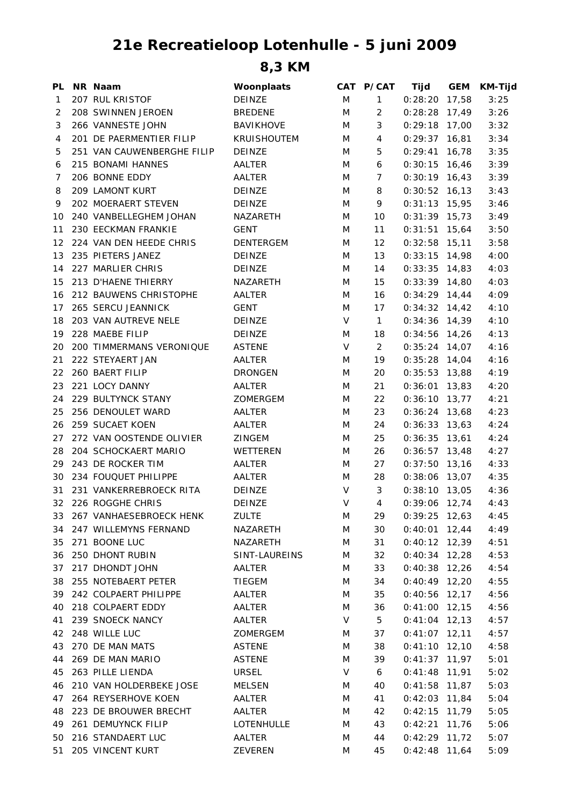## **21e Recreatieloop Lotenhulle - 5 juni 2009**

**8,3 KM**

| PL | NR Naam                    | Woonplaats         |        | CAT P/CAT      | Tijd            | <b>GEM</b> | <b>KM-Tijd</b> |
|----|----------------------------|--------------------|--------|----------------|-----------------|------------|----------------|
| 1  | 207 RUL KRISTOF            | DEINZE             | M      | $\mathbf{1}$   | $0:28:20$ 17,58 |            | 3:25           |
| 2  | 208 SWINNEN JEROEN         | <b>BREDENE</b>     | M      | 2              | $0:28:28$ 17,49 |            | 3:26           |
| 3  | 266 VANNESTE JOHN          | <b>BAVIKHOVE</b>   | M      | 3              | $0:29:18$ 17,00 |            | 3:32           |
| 4  | 201 DE PAERMENTIER FILIP   | <b>KRUISHOUTEM</b> | M      | 4              | $0:29:37$ 16,81 |            | 3:34           |
| 5  | 251 VAN CAUWENBERGHE FILIP | DEINZE             | M      | 5              | $0:29:41$ 16,78 |            | 3:35           |
| 6  | 215 BONAMI HANNES          | AALTER             | M      | 6              | $0:30:15$ 16,46 |            | 3:39           |
| 7  | 206 BONNE EDDY             | AALTER             | M      | 7              | $0:30:19$ 16,43 |            | 3:39           |
| 8  | 209 LAMONT KURT            | DEINZE             | M      | 8              | $0:30:52$ 16,13 |            | 3:43           |
| 9  | 202 MOERAERT STEVEN        | DEINZE             | M      | 9              | $0:31:13$ 15,95 |            | 3:46           |
| 10 | 240 VANBELLEGHEM JOHAN     | NAZARETH           | M      | 10             | $0:31:39$ 15,73 |            | 3:49           |
| 11 | 230 EECKMAN FRANKIE        | <b>GENT</b>        | M      | 11             | $0:31:51$ 15,64 |            | 3:50           |
| 12 | 224 VAN DEN HEEDE CHRIS    | <b>DENTERGEM</b>   | M      | 12             | $0:32:58$ 15,11 |            | 3:58           |
| 13 | 235 PIETERS JANEZ          | DEINZE             | M      | 13             | $0:33:15$ 14,98 |            | 4:00           |
| 14 | 227 MARLIER CHRIS          | <b>DEINZE</b>      | M      | 14             | $0:33:35$ 14,83 |            | 4:03           |
| 15 | 213 D'HAENE THIERRY        | NAZARETH           | M      | 15             | $0:33:39$ 14,80 |            | 4:03           |
| 16 | 212 BAUWENS CHRISTOPHE     | AALTER             | M      | 16             | $0:34:29$ 14,44 |            | 4:09           |
| 17 | 265 SERCU JEANNICK         | <b>GENT</b>        | M      | 17             | $0:34:32$ 14,42 |            | 4:10           |
| 18 | 203 VAN AUTREVE NELE       | DEINZE             | $\vee$ | $\mathbf{1}$   | $0:34:36$ 14,39 |            | 4:10           |
| 19 | 228 MAEBE FILIP            | DEINZE             | M      | 18             | $0:34:56$ 14,26 |            | 4:13           |
| 20 | 200 TIMMERMANS VERONIQUE   | <b>ASTENE</b>      | V      | $\overline{2}$ | $0:35:24$ 14,07 |            | 4:16           |
| 21 | 222 STEYAERT JAN           | AALTER             | M      | 19             | $0:35:28$ 14,04 |            | 4:16           |
| 22 | 260 BAERT FILIP            | <b>DRONGEN</b>     | M      | 20             | $0:35:53$ 13,88 |            | 4:19           |
| 23 | 221 LOCY DANNY             | AALTER             | M      | 21             | $0:36:01$ 13,83 |            | 4:20           |
| 24 | 229 BULTYNCK STANY         | ZOMERGEM           | M      | 22             | $0:36:10$ 13,77 |            | 4:21           |
| 25 | 256 DENOULET WARD          | AALTER             | M      | 23             | $0:36:24$ 13,68 |            | 4:23           |
| 26 | 259 SUCAET KOEN            | AALTER             | M      | 24             | $0:36:33$ 13,63 |            | 4:24           |
| 27 | 272 VAN OOSTENDE OLIVIER   | <b>ZINGEM</b>      | M      | 25             | $0:36:35$ 13,61 |            | 4:24           |
| 28 | 204 SCHOCKAERT MARIO       | WETTEREN           | M      | 26             | $0:36:57$ 13,48 |            | 4:27           |
| 29 | 243 DE ROCKER TIM          | AALTER             | M      | 27             | $0:37:50$ 13,16 |            | 4:33           |
| 30 | 234 FOUQUET PHILIPPE       | AALTER             | M      | 28             | $0:38:06$ 13,07 |            | 4:35           |
| 31 | 231 VANKERREBROECK RITA    | DEINZE             | V      | 3              | $0:38:10$ 13,05 |            | 4:36           |
|    | 32 226 ROGGHE CHRIS        | DEINZE             | V      | 4              | $0:39:06$ 12,74 |            | 4:43           |
| 33 | 267 VANHAESEBROECK HENK    | <b>ZULTE</b>       | M      | 29             | $0:39:25$ 12,63 |            | 4:45           |
| 34 | 247 WILLEMYNS FERNAND      | NAZARETH           | M      | 30             | $0:40:01$ 12,44 |            | 4:49           |
| 35 | 271 BOONE LUC              | NAZARETH           | M      | 31             | $0:40:12$ 12,39 |            | 4:51           |
| 36 | 250 DHONT RUBIN            | SINT-LAUREINS      | M      | 32             | $0:40:34$ 12,28 |            | 4:53           |
| 37 | 217 DHONDT JOHN            | AALTER             | M      | 33             | $0:40:38$ 12,26 |            | 4:54           |
| 38 | 255 NOTEBAERT PETER        | <b>TIEGEM</b>      | M      | 34             | $0:40:49$ 12,20 |            | 4:55           |
| 39 | 242 COLPAERT PHILIPPE      | AALTER             | M      | 35             | $0:40:56$ 12,17 |            | 4:56           |
| 40 | 218 COLPAERT EDDY          | AALTER             | M      | 36             | $0:41:00$ 12,15 |            | 4:56           |
| 41 | 239 SNOECK NANCY           | AALTER             | V      | 5              | $0:41:04$ 12,13 |            | 4:57           |
| 42 | 248 WILLE LUC              | ZOMERGEM           | M      | 37             | $0:41:07$ 12,11 |            | 4:57           |
| 43 | 270 DE MAN MATS            | <b>ASTENE</b>      | M      | 38             | $0:41:10$ 12,10 |            | 4:58           |
| 44 | 269 DE MAN MARIO           | <b>ASTENE</b>      | M      | 39             | $0:41:37$ 11,97 |            | 5:01           |
| 45 | 263 PILLE LIENDA           | <b>URSEL</b>       | V      | 6              | $0:41:48$ 11,91 |            | 5:02           |
| 46 | 210 VAN HOLDERBEKE JOSE    | MELSEN             | M      | 40             | $0:41:58$ 11,87 |            | 5:03           |
| 47 | 264 REYSERHOVE KOEN        | AALTER             | M      | 41             | $0:42:03$ 11,84 |            | 5:04           |
| 48 | 223 DE BROUWER BRECHT      | AALTER             | M      | 42             | $0:42:15$ 11,79 |            | 5:05           |
| 49 | 261 DEMUYNCK FILIP         | LOTENHULLE         | M      | 43             | $0:42:21$ 11,76 |            | 5:06           |
| 50 | 216 STANDAERT LUC          | AALTER             | M      | 44             | $0:42:29$ 11,72 |            | 5:07           |
| 51 | 205 VINCENT KURT           | ZEVEREN            | M      | 45             | $0:42:48$ 11,64 |            | 5:09           |
|    |                            |                    |        |                |                 |            |                |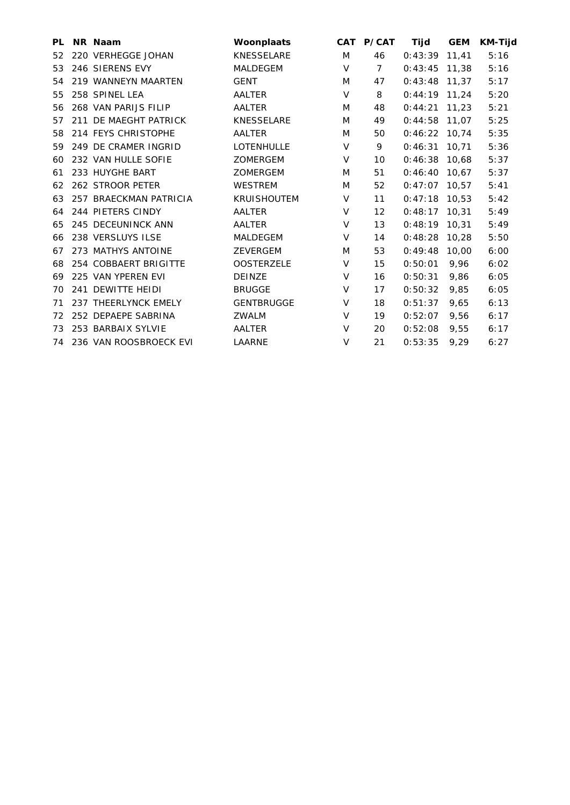| PL. | NR Naam                   | Woonplaats         |        | CAT P/CAT   | Tijd            | <b>GEM</b> | <b>KM-Tijd</b> |
|-----|---------------------------|--------------------|--------|-------------|-----------------|------------|----------------|
| 52  | 220 VERHEGGE JOHAN        | <b>KNESSELARE</b>  | M      | 46          | 0:43:39         | 11,41      | 5:16           |
| 53  | 246 SIERENS EVY           | <b>MALDEGEM</b>    | V      | $7^{\circ}$ | $0:43:45$ 11,38 |            | 5:16           |
| 54  | 219 WANNEYN MAARTEN       | <b>GENT</b>        | M      | 47          | $0:43:48$ 11,37 |            | 5:17           |
| 55  | 258 SPINEL LEA            | AALTER             | $\vee$ | 8           | $0:44:19$ 11,24 |            | 5:20           |
| 56  | 268 VAN PARIJS FILIP      | AALTER             | M      | 48          | $0:44:21$ 11,23 |            | 5:21           |
| 57  | 211 DE MAEGHT PATRICK     | <b>KNESSELARE</b>  | M      | 49          | $0:44:58$ 11,07 |            | 5:25           |
| 58  | 214 FEYS CHRISTOPHE       | AALTER             | M      | 50          | $0:46:22$ 10,74 |            | 5:35           |
| 59  | 249 DE CRAMER INGRID      | LOTENHULLE         | V      | 9           | 0:46:31         | 10,71      | 5:36           |
| 60  | 232 VAN HULLE SOFIE       | <b>ZOMERGEM</b>    | V      | 10          | $0:46:38$ 10,68 |            | 5:37           |
| 61  | 233 HUYGHE BART           | <b>ZOMERGEM</b>    | M      | 51          | $0:46:40$ 10,67 |            | 5:37           |
| 62  | 262 STROOR PETER          | <b>WESTREM</b>     | M      | 52          | $0:47:07$ 10,57 |            | 5:41           |
| 63  | 257 BRAECKMAN PATRICIA    | <b>KRUISHOUTEM</b> | V      | 11          | $0:47:18$ 10,53 |            | 5:42           |
| 64  | 244 PIETERS CINDY         | AALTER             | V      | 12          | 0:48:17         | 10.31      | 5:49           |
| 65  | 245 DECEUNINCK ANN        | AALTER             | V      | 13          | $0:48:19$ 10,31 |            | 5:49           |
| 66  | 238 VERSLUYS ILSE         | <b>MALDEGEM</b>    | V      | 14          | 0:48:28         | 10,28      | 5:50           |
| 67  | 273 MATHYS ANTOINE        | <b>ZEVERGEM</b>    | M      | 53          | 0:49:48         | 10.00      | 6:00           |
| 68  | 254 COBBAERT BRIGITTE     | <b>OOSTERZELE</b>  | V      | 15          | 0:50:01         | 9,96       | 6:02           |
| 69  | 225 VAN YPEREN EVI        | <b>DEINZE</b>      | V      | 16          | 0:50:31         | 9,86       | 6:05           |
| 70  | 241 DEWITTE HEIDI         | <b>BRUGGE</b>      | V      | 17          | 0:50:32         | 9,85       | 6:05           |
| 71  | 237 THEERLYNCK EMELY      | <b>GENTBRUGGE</b>  | $\vee$ | 18          | 0:51:37         | 9,65       | 6:13           |
| 72  | 252 DEPAEPE SABRINA       | <b>ZWALM</b>       | $\vee$ | 19          | 0:52:07         | 9,56       | 6:17           |
| 73  | 253 BARBAIX SYLVIE        | AALTER             | V      | 20          | 0:52:08         | 9,55       | 6:17           |
|     | 74 236 VAN ROOSBROECK EVI | LAARNE             | $\vee$ | 21          | 0:53:35         | 9.29       | 6:27           |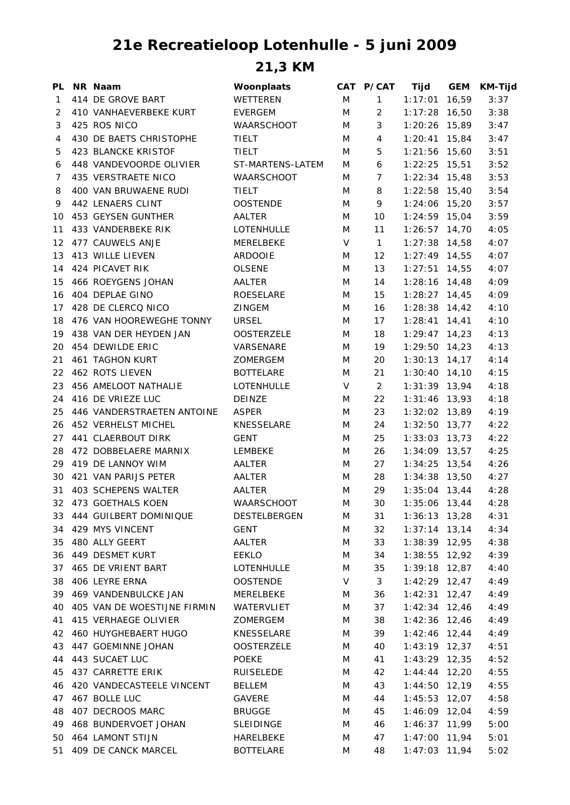## **21e Recreatieloop Lotenhulle - 5 juni 2009**

**21,3 KM**

| PL | NR Naam                     | Woonplaats        |   | CAT P/CAT      | Tijd              | <b>GEM</b> | <b>KM-Tijd</b> |
|----|-----------------------------|-------------------|---|----------------|-------------------|------------|----------------|
| 1  | 414 DE GROVE BART           | WETTEREN          | M | $\mathbf{1}$   | 1:17:01           | 16,59      | 3:37           |
| 2  | 410 VANHAEVERBEKE KURT      | <b>EVERGEM</b>    | M | $\overline{2}$ | $1:17:28$ 16,50   |            | 3:38           |
| 3  | 425 ROS NICO                | WAARSCHOOT        | M | 3              | $1:20:26$ 15,89   |            | 3:47           |
| 4  | 430 DE BAETS CHRISTOPHE     | <b>TIELT</b>      | M | 4              | $1:20:41$ 15,84   |            | 3:47           |
| 5  | 423 BLANCKE KRISTOF         | TIELT             | M | 5              | $1:21:56$ 15,60   |            | 3:51           |
| 6  | 448 VANDEVOORDE OLIVIER     | ST-MARTENS-LATEM  | M | 6              | $1:22:25$ 15,51   |            | 3:52           |
| 7  | 435 VERSTRAETE NICO         | <b>WAARSCHOOT</b> | M | $\overline{7}$ | $1:22:34$ 15,48   |            | 3:53           |
| 8  | 400 VAN BRUWAENE RUDI       | <b>TIELT</b>      | M | 8              | $1:22:58$ 15,40   |            | 3:54           |
| 9  | 442 LENAERS CLINT           | <b>OOSTENDE</b>   | M | 9              | $1:24:06$ 15,20   |            | 3:57           |
| 10 | 453 GEYSEN GUNTHER          | AALTER            | M | 10             | $1:24:59$ 15,04   |            | 3:59           |
| 11 | 433 VANDERBEKE RIK          | LOTENHULLE        | M | 11             | $1:26:57$ 14,70   |            | 4:05           |
| 12 | 477 CAUWELS ANJE            | MERELBEKE         | V | $\mathbf{1}$   | $1:27:38$ 14,58   |            | 4:07           |
| 13 | 413 WILLE LIEVEN            | <b>ARDOOIE</b>    | M | 12             | $1:27:49$ 14,55   |            | 4:07           |
| 14 | 424 PICAVET RIK             | <b>OLSENE</b>     | M | 13             | $1:27:51$ 14,55   |            | 4:07           |
| 15 | 466 ROEYGENS JOHAN          | AALTER            | M | 14             | $1:28:16$ 14,48   |            | 4:09           |
| 16 | 404 DEPLAE GINO             | ROESELARE         | M | 15             | $1:28:27$ 14,45   |            | 4:09           |
| 17 | 428 DE CLERCQ NICO          | <b>ZINGEM</b>     | M | 16             | $1:28:38$ 14,42   |            | 4:10           |
| 18 | 476 VAN HOOREWEGHE TONNY    | <b>URSEL</b>      | M | 17             | $1:28:41$ 14,41   |            | 4:10           |
| 19 | 438 VAN DER HEYDEN JAN      | <b>OOSTERZELE</b> | M | 18             | $1:29:47$ 14,23   |            | 4:13           |
| 20 | 454 DEWILDE ERIC            | VARSENARE         | M | 19             | $1:29:50$ 14,23   |            | 4:13           |
| 21 | <b>461 TAGHON KURT</b>      | ZOMERGEM          | M | 20             | $1:30:13$ $14,17$ |            | 4:14           |
| 22 | 462 ROTS LIEVEN             | <b>BOTTELARE</b>  | M | 21             | $1:30:40$ 14,10   |            | 4:15           |
| 23 | 456 AMELOOT NATHALIE        | <b>LOTENHULLE</b> | V | $\overline{2}$ | $1:31:39$ 13,94   |            | 4:18           |
| 24 | 416 DE VRIEZE LUC           | DEINZE            | M | 22             | $1:31:46$ 13,93   |            | 4:18           |
| 25 | 446 VANDERSTRAETEN ANTOINE  | ASPER             | M | 23             | $1:32:02$ 13,89   |            | 4:19           |
| 26 | 452 VERHELST MICHEL         | KNESSELARE        | M | 24             | $1:32:50$ 13,77   |            | 4:22           |
| 27 | 441 CLAERBOUT DIRK          | <b>GENT</b>       | M | 25             | $1:33:03$ 13,73   |            | 4:22           |
| 28 | 472 DOBBELAERE MARNIX       | LEMBEKE           | M | 26             | $1:34:09$ 13,57   |            | 4:25           |
| 29 | 419 DE LANNOY WIM           | AALTER            | M | 27             | $1:34:25$ 13,54   |            | 4:26           |
| 30 | 421 VAN PARIJS PETER        | AALTER            | M | 28             | $1:34:38$ 13,50   |            | 4:27           |
| 31 | 403 SCHEPENS WALTER         | AALTER            | M | 29             | $1:35:04$ 13,44   |            | 4:28           |
|    | 32 473 GOETHALS KOEN        | <b>WAARSCHOOT</b> | M | 30             | $1:35:06$ 13,44   |            | 4:28           |
| 33 | 444 GUILBERT DOMINIQUE      | DESTELBERGEN      | M | 31             | $1:36:13$ 13,28   |            | 4:31           |
|    | 34 429 MYS VINCENT          | <b>GENT</b>       | M | 32             | $1:37:14$ 13,14   |            | 4:34           |
| 35 | 480 ALLY GEERT              | AALTER            | M | 33             | $1:38:39$ 12,95   |            | 4:38           |
|    | 36 449 DESMET KURT          | EEKLO             | M | 34             | $1:38:55$ $12,92$ |            | 4:39           |
| 37 | 465 DE VRIENT BART          | LOTENHULLE        | M | 35             | $1:39:18$ 12,87   |            | 4:40           |
| 38 | 406 LEYRE ERNA              | <b>OOSTENDE</b>   | V | 3              | $1:42:29$ 12,47   |            | 4:49           |
| 39 | 469 VANDENBULCKE JAN        | MERELBEKE         | M | 36             | $1:42:31$ $12,47$ |            | 4:49           |
| 40 | 405 VAN DE WOESTIJNE FIRMIN | WATERVLIET        | M | 37             | $1:42:34$ 12,46   |            | 4:49           |
| 41 | 415 VERHAEGE OLIVIER        | ZOMERGEM          | M | 38             | $1:42:36$ 12,46   |            | 4:49           |
| 42 | 460 HUYGHEBAERT HUGO        | KNESSELARE        | M | 39             | $1:42:46$ 12,44   |            | 4:49           |
| 43 | 447 GOEMINNE JOHAN          | <b>OOSTERZELE</b> | M | 40             | $1:43:19$ 12,37   |            | 4:51           |
| 44 | 443 SUCAET LUC              | <b>POEKE</b>      | M | 41             | $1:43:29$ 12,35   |            | 4:52           |
| 45 | 437 CARRETTE ERIK           | RUISELEDE         | M | 42             | $1:44:44$ 12,20   |            | 4:55           |
| 46 | 420 VANDECASTEELE VINCENT   | BELLEM            | M | 43             | $1:44:50$ 12,19   |            | 4:55           |
| 47 | 467 BOLLE LUC               | GAVERE            | M | 44             | $1:45:53$ 12,07   |            | 4:58           |
| 48 | 407 DECROOS MARC            | <b>BRUGGE</b>     | M | 45             | $1:46:09$ 12,04   |            | 4:59           |
| 49 | 468 BUNDERVOET JOHAN        | <b>SLEIDINGE</b>  | M | 46             | 1:46:37 11,99     |            | 5:00           |
| 50 | 464 LAMONT STIJN            | HARELBEKE         | M | 47             | $1:47:00$ 11,94   |            | 5:01           |
| 51 | 409 DE CANCK MARCEL         | <b>BOTTELARE</b>  | M | 48             | $1:47:03$ 11,94   |            | 5:02           |
|    |                             |                   |   |                |                   |            |                |